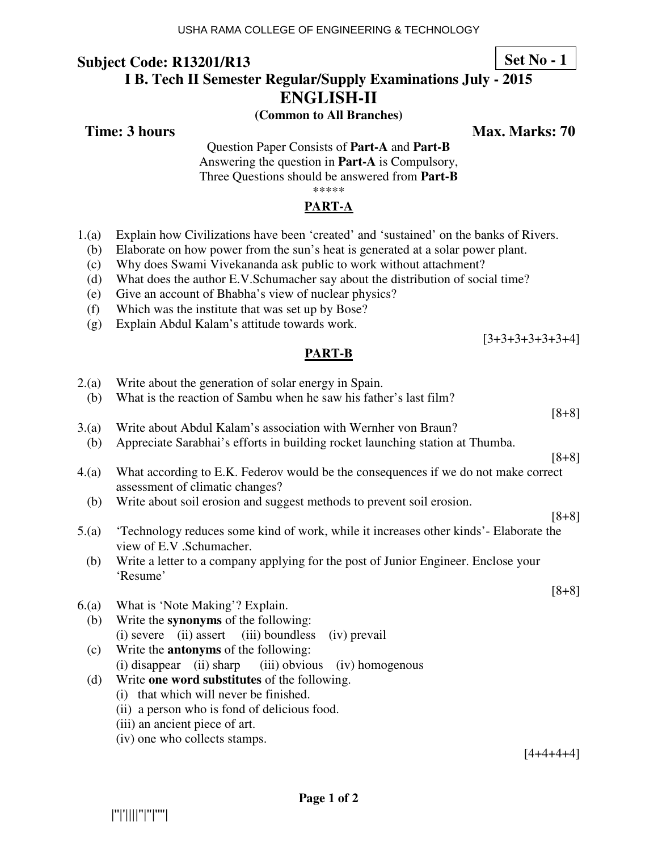**Set No - 1**

#### **I B. Tech II Semester Regular/Supply Examinations July - 2015**

**ENGLISH-II** 

**(Common to All Branches)**

**Time: 3 hours Max. Marks: 70 Max. Marks: 70** 

Question Paper Consists of **Part-A** and **Part-B** Answering the question in **Part-A** is Compulsory, Three Questions should be answered from **Part-B** \*\*\*\*\*

#### **PART-A**

**PART-B**

- 1.(a) Explain how Civilizations have been 'created' and 'sustained' on the banks of Rivers.
	- (b) Elaborate on how power from the sun's heat is generated at a solar power plant.
	- (c) Why does Swami Vivekananda ask public to work without attachment?
	- (d) What does the author E.V.Schumacher say about the distribution of social time?
	- (e) Give an account of Bhabha's view of nuclear physics?
	- (f) Which was the institute that was set up by Bose?
	- (g) Explain Abdul Kalam's attitude towards work.

 $[3+3+3+3+3+3+4]$ 

#### 2.(a) Write about the generation of solar energy in Spain. (b) What is the reaction of Sambu when he saw his father's last film? [8+8] 3.(a) Write about Abdul Kalam's association with Wernher von Braun? (b) Appreciate Sarabhai's efforts in building rocket launching station at Thumba. [8+8] 4.(a) What according to E.K. Federov would be the consequences if we do not make correct assessment of climatic changes? (b) Write about soil erosion and suggest methods to prevent soil erosion. [8+8] 5.(a) 'Technology reduces some kind of work, while it increases other kinds'- Elaborate the view of E.V .Schumacher. (b) Write a letter to a company applying for the post of Junior Engineer. Enclose your 'Resume' [8+8] 6.(a) What is 'Note Making'? Explain. (b) Write the **synonyms** of the following: (i) severe (ii) assert (iii) boundless (iv) prevail (c) Write the **antonyms** of the following: (i) disappear (ii) sharp (iii) obvious (iv) homogenous (d) Write **one word substitutes** of the following. (i) that which will never be finished. (ii) a person who is fond of delicious food. (iii) an ancient piece of art. (iv) one who collects stamps.  $[4+4+4+4]$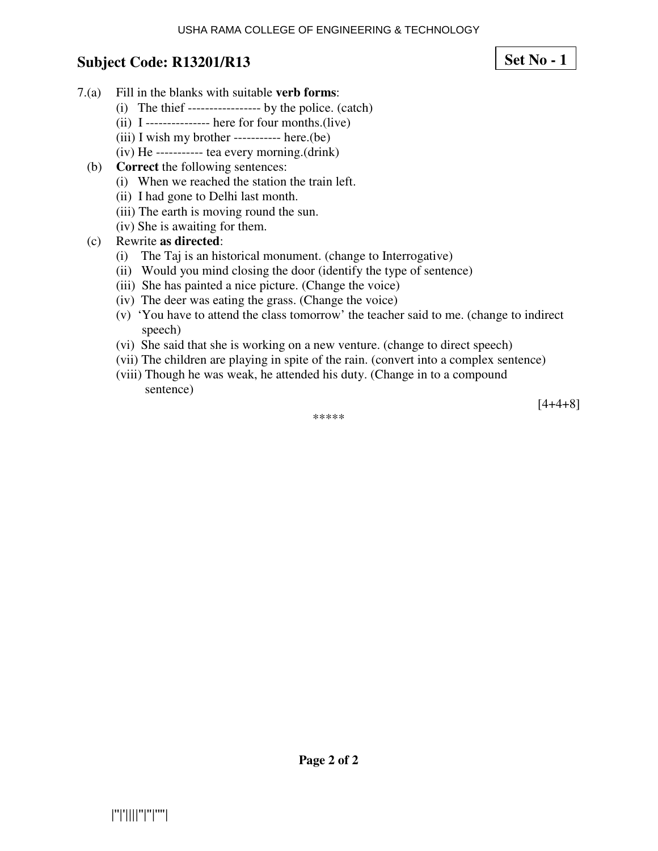## **Set No - 1**

- 7.(a) Fill in the blanks with suitable **verb forms**:
	- (i) The thief ----------------- by the police. (catch)
	- (ii) I --------------- here for four months.(live)
	- (iii) I wish my brother ----------- here.(be)
	- (iv) He ----------- tea every morning.(drink)
	- (b) **Correct** the following sentences:
		- (i) When we reached the station the train left.
		- (ii) I had gone to Delhi last month.
		- (iii) The earth is moving round the sun.
		- (iv) She is awaiting for them.
	- (c) Rewrite **as directed**:
		- (i) The Taj is an historical monument. (change to Interrogative)
		- (ii) Would you mind closing the door (identify the type of sentence)
		- (iii) She has painted a nice picture. (Change the voice)
		- (iv) The deer was eating the grass. (Change the voice)
		- (v) 'You have to attend the class tomorrow' the teacher said to me. (change to indirect speech)
		- (vi) She said that she is working on a new venture. (change to direct speech)
		- (vii) The children are playing in spite of the rain. (convert into a complex sentence)

\*\*\*\*\*

(viii) Though he was weak, he attended his duty. (Change in to a compound sentence)

 $[4+4+8]$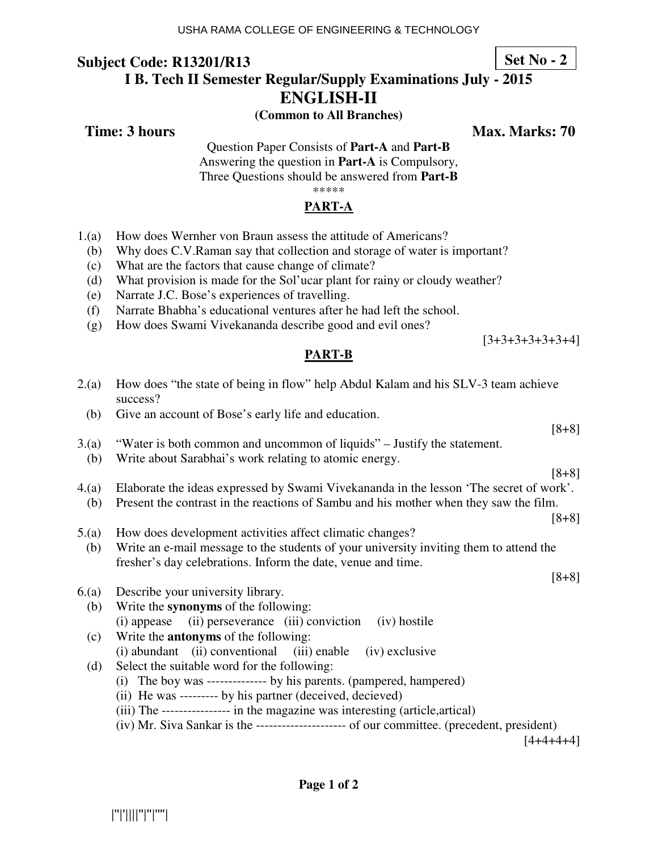**Set No - 2**

# **I B. Tech II Semester Regular/Supply Examinations July - 2015**

#### **ENGLISH-II**

#### **(Common to All Branches)**

**Time: 3 hours Max. Marks: 70 Max. Marks: 70** 

Question Paper Consists of **Part-A** and **Part-B** Answering the question in **Part-A** is Compulsory, Three Questions should be answered from **Part-B** \*\*\*\*\*

## **PART-A**

- 1.(a) How does Wernher von Braun assess the attitude of Americans?
	- (b) Why does C.V.Raman say that collection and storage of water is important?
	- (c) What are the factors that cause change of climate?
	- (d) What provision is made for the Sol'ucar plant for rainy or cloudy weather?
	- (e) Narrate J.C. Bose's experiences of travelling.
	- (f) Narrate Bhabha's educational ventures after he had left the school.
	- (g) How does Swami Vivekananda describe good and evil ones?

[3+3+3+3+3+3+4]

#### **PART-B**

| 2.(a) | How does "the state of being in flow" help Abdul Kalam and his SLV-3 team achieve<br>success? |
|-------|-----------------------------------------------------------------------------------------------|
| (b)   | Give an account of Bose's early life and education.                                           |
|       | $[8+8]$                                                                                       |
| 3(a)  | "Water is both common and uncommon of liquids" – Justify the statement.                       |
| (b)   | Write about Sarabhai's work relating to atomic energy.                                        |
|       | $[8+8]$                                                                                       |
| 4.(a) | Elaborate the ideas expressed by Swami Vivekananda in the lesson 'The secret of work'.        |
| (b)   | Present the contrast in the reactions of Sambu and his mother when they saw the film.         |
|       | $[8+8]$                                                                                       |
| 5.(a) | How does development activities affect climatic changes?                                      |
| (b)   | Write an e-mail message to the students of your university inviting them to attend the        |
|       | fresher's day celebrations. Inform the date, venue and time.                                  |
|       | $[8+8]$                                                                                       |
| 6(a)  | Describe your university library.                                                             |
| (b)   | Write the <b>synonyms</b> of the following:                                                   |
|       | (i) appease (ii) perseverance (iii) conviction<br>(iv) hostile                                |
| (c)   | Write the <b>antonyms</b> of the following:                                                   |
|       | (i) abundant (ii) conventional (iii) enable<br>(iv) exclusive                                 |
|       |                                                                                               |
| (d)   | Select the suitable word for the following:                                                   |
|       | (i) The boy was -------------- by his parents. (pampered, hampered)                           |
|       | (ii) He was --------- by his partner (deceived, decieved)                                     |
|       | (iii) The ---------------- in the magazine was interesting (article, artical)                 |
|       | (iv) Mr. Siva Sankar is the ---------------------- of our committee. (precedent, president)   |

 $[4+4+4+4]$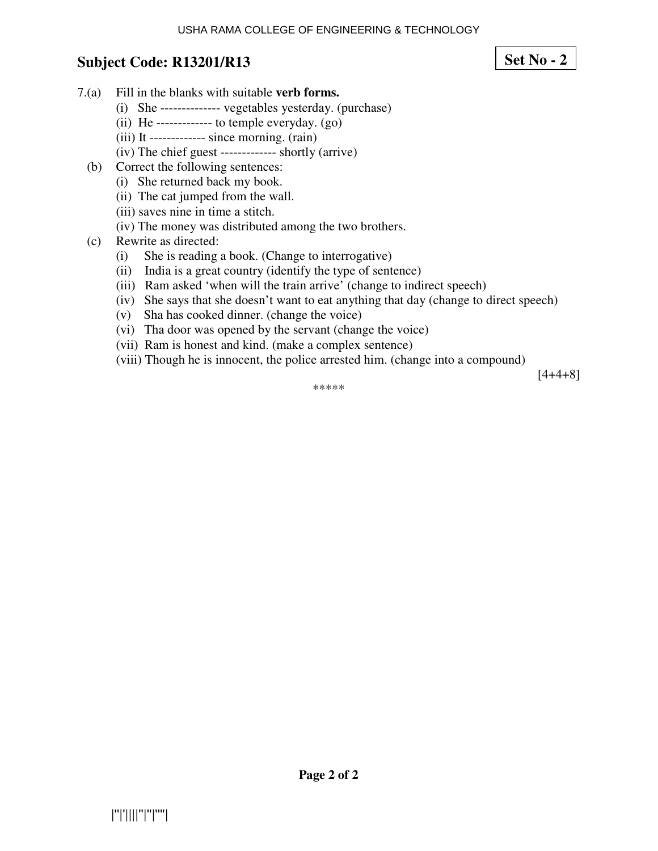## **Set No - 2**

- 7.(a) Fill in the blanks with suitable **verb forms.**
	- (i) She -------------- vegetables yesterday. (purchase)
	- (ii) He ------------- to temple everyday. (go)
	- (iii) It ------------- since morning. (rain)
	- (iv) The chief guest ------------- shortly (arrive)
	- (b) Correct the following sentences:
		- (i) She returned back my book.
		- (ii) The cat jumped from the wall.
		- (iii) saves nine in time a stitch.
		- (iv) The money was distributed among the two brothers.
	- (c) Rewrite as directed:
		- (i) She is reading a book. (Change to interrogative)
		- (ii) India is a great country (identify the type of sentence)
		- (iii) Ram asked 'when will the train arrive' (change to indirect speech)
		- (iv) She says that she doesn't want to eat anything that day (change to direct speech)
		- (v) Sha has cooked dinner. (change the voice)
		- (vi) Tha door was opened by the servant (change the voice)
		- (vii) Ram is honest and kind. (make a complex sentence)
		- (viii) Though he is innocent, the police arrested him. (change into a compound)

 $[4+4+8]$ 

\*\*\*\*\*

|''|'||||''|''|''''|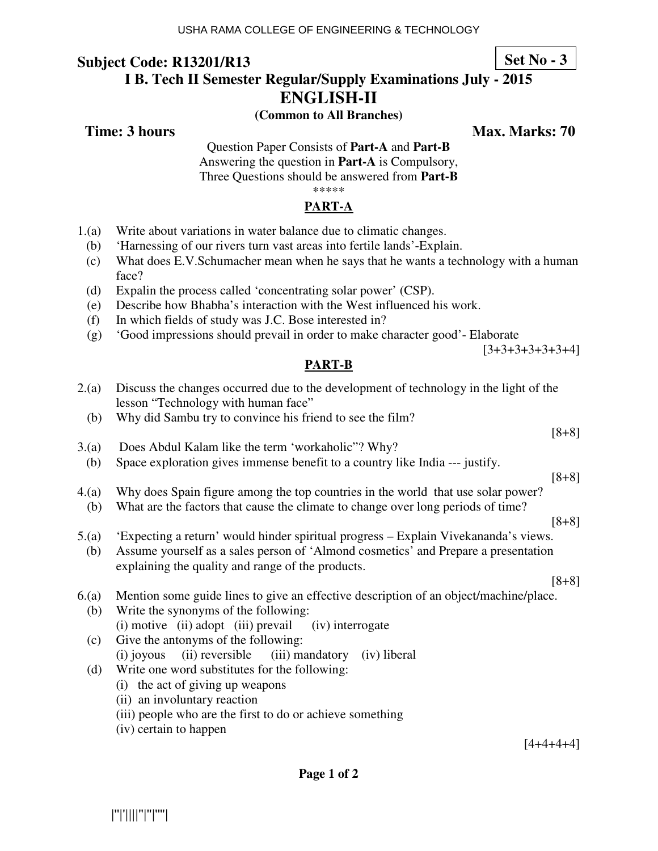**Set No - 3**

### **I B. Tech II Semester Regular/Supply Examinations July - 2015**

#### **ENGLISH-II**

#### **(Common to All Branches)**

**Time: 3 hours Max. Marks: 70 Max. Marks: 70** 

Question Paper Consists of **Part-A** and **Part-B** Answering the question in **Part-A** is Compulsory, Three Questions should be answered from **Part-B** \*\*\*\*\*

### **PART-A**

- 1.(a) Write about variations in water balance due to climatic changes.
	- (b) 'Harnessing of our rivers turn vast areas into fertile lands'-Explain.
	- (c) What does E.V.Schumacher mean when he says that he wants a technology with a human face?
	- (d) Expalin the process called 'concentrating solar power' (CSP).
	- (e) Describe how Bhabha's interaction with the West influenced his work.
	- (f) In which fields of study was J.C. Bose interested in?
	- (g) 'Good impressions should prevail in order to make character good'- Elaborate

 $[3+3+3+3+3+3+4]$ 

#### **PART-B**

- 2.(a) Discuss the changes occurred due to the development of technology in the light of the lesson "Technology with human face"
	- (b) Why did Sambu try to convince his friend to see the film?
- 3.(a) Does Abdul Kalam like the term 'workaholic"? Why?
- (b) Space exploration gives immense benefit to a country like India --- justify.

[8+8]

[8+8]

- 4.(a) Why does Spain figure among the top countries in the world that use solar power?
	- (b) What are the factors that cause the climate to change over long periods of time?

[8+8]

- 5.(a) 'Expecting a return' would hinder spiritual progress Explain Vivekananda's views.
- (b) Assume yourself as a sales person of 'Almond cosmetics' and Prepare a presentation explaining the quality and range of the products.

[8+8]

- 6.(a) Mention some guide lines to give an effective description of an object/machine/place.
	- (b) Write the synonyms of the following: (i) motive (ii) adopt (iii) prevail (iv) interrogate
	- (c) Give the antonyms of the following: (i) joyous (ii) reversible (iii) mandatory (iv) liberal
	- (d) Write one word substitutes for the following:
		- (i) the act of giving up weapons
		- (ii) an involuntary reaction
		- (iii) people who are the first to do or achieve something
		- (iv) certain to happen

 $[4+4+4+4]$ 

**Page 1 of 2**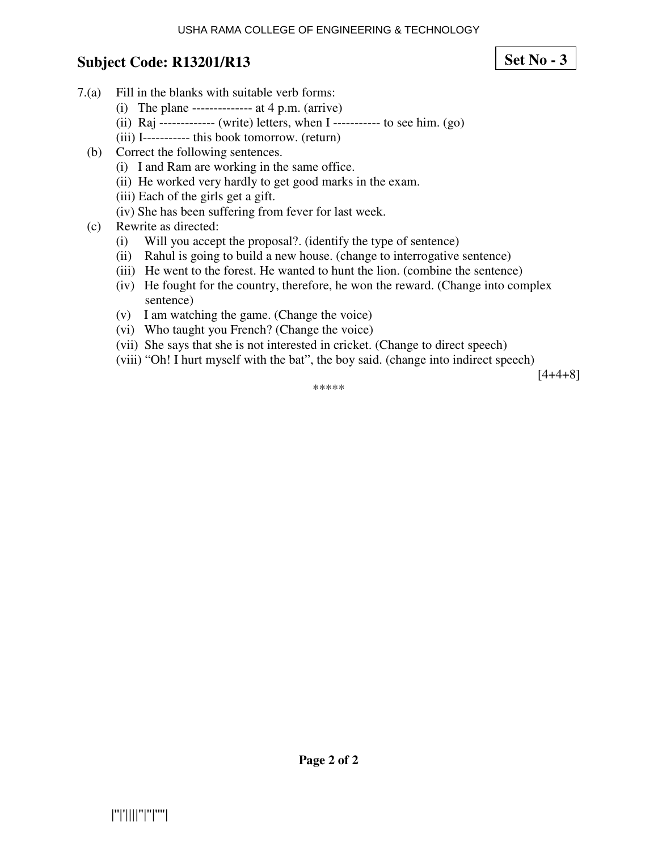## **Set No - 3**

- 7.(a) Fill in the blanks with suitable verb forms:
	- (i) The plane --------------- at  $4$  p.m. (arrive)
	- (ii) Raj ------------- (write) letters, when I ----------- to see him. (go)
	- (iii) I----------- this book tomorrow. (return)
	- (b) Correct the following sentences.
		- (i) I and Ram are working in the same office.
		- (ii) He worked very hardly to get good marks in the exam.
		- (iii) Each of the girls get a gift.
		- (iv) She has been suffering from fever for last week.
	- (c) Rewrite as directed:
		- (i) Will you accept the proposal?. (identify the type of sentence)
		- (ii) Rahul is going to build a new house. (change to interrogative sentence)
		- (iii) He went to the forest. He wanted to hunt the lion. (combine the sentence)
		- (iv) He fought for the country, therefore, he won the reward. (Change into complex sentence)
		- (v) I am watching the game. (Change the voice)
		- (vi) Who taught you French? (Change the voice)
		- (vii) She says that she is not interested in cricket. (Change to direct speech)
		- (viii) "Oh! I hurt myself with the bat", the boy said. (change into indirect speech)

\*\*\*\*\*

 $[4+4+8]$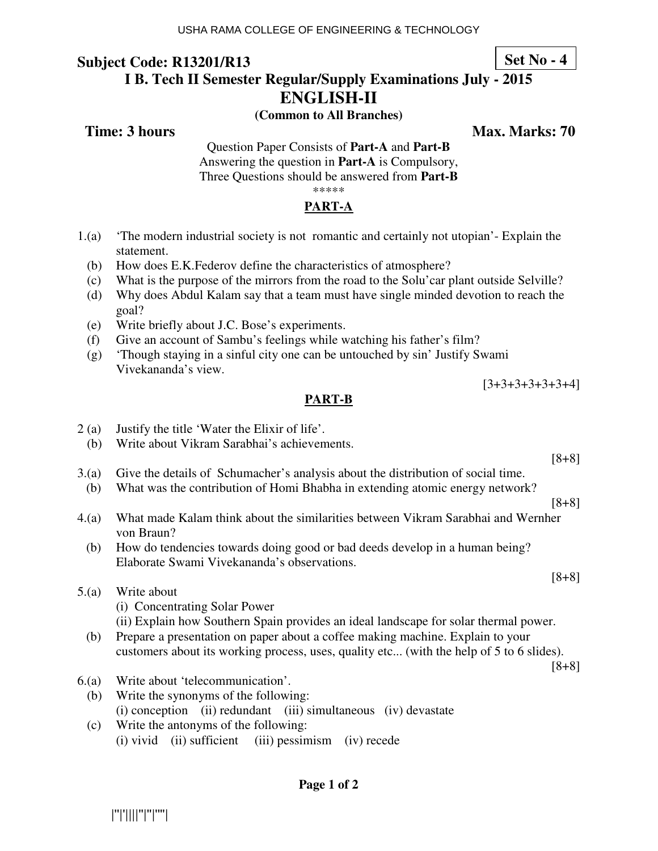**Set No - 4**

#### **I B. Tech II Semester Regular/Supply Examinations July - 2015**

#### **ENGLISH-II**

#### **(Common to All Branches)**

**Time: 3 hours Max. Marks: 70 Max. Marks: 70** 

Question Paper Consists of **Part-A** and **Part-B** Answering the question in **Part-A** is Compulsory, Three Questions should be answered from **Part-B**

### \*\*\*\*\*

#### **PART-A**

- 1.(a) 'The modern industrial society is not romantic and certainly not utopian'- Explain the statement.
	- (b) How does E.K.Federov define the characteristics of atmosphere?
	- (c) What is the purpose of the mirrors from the road to the Solu'car plant outside Selville?
	- (d) Why does Abdul Kalam say that a team must have single minded devotion to reach the goal?
	- (e) Write briefly about J.C. Bose's experiments.
	- (f) Give an account of Sambu's feelings while watching his father's film?
	- (g) 'Though staying in a sinful city one can be untouched by sin' Justify Swami Vivekananda's view.

[3+3+3+3+3+3+4]

#### **PART-B**

- 2 (a) Justify the title 'Water the Elixir of life'.
	- (b) Write about Vikram Sarabhai's achievements.
- 3.(a) Give the details of Schumacher's analysis about the distribution of social time.
- (b) What was the contribution of Homi Bhabha in extending atomic energy network?
- 4.(a) What made Kalam think about the similarities between Vikram Sarabhai and Wernher von Braun?
	- (b) How do tendencies towards doing good or bad deeds develop in a human being? Elaborate Swami Vivekananda's observations.
- 5.(a) Write about
	- (i) Concentrating Solar Power
	- (ii) Explain how Southern Spain provides an ideal landscape for solar thermal power.
	- (b) Prepare a presentation on paper about a coffee making machine. Explain to your customers about its working process, uses, quality etc... (with the help of 5 to 6 slides).

[8+8]

- 6.(a) Write about 'telecommunication'.
	- (b) Write the synonyms of the following: (i) conception (ii) redundant (iii) simultaneous (iv) devastate
	- (c) Write the antonyms of the following: (i) vivid (ii) sufficient (iii) pessimism (iv) recede

[8+8]

[8+8]

[8+8]